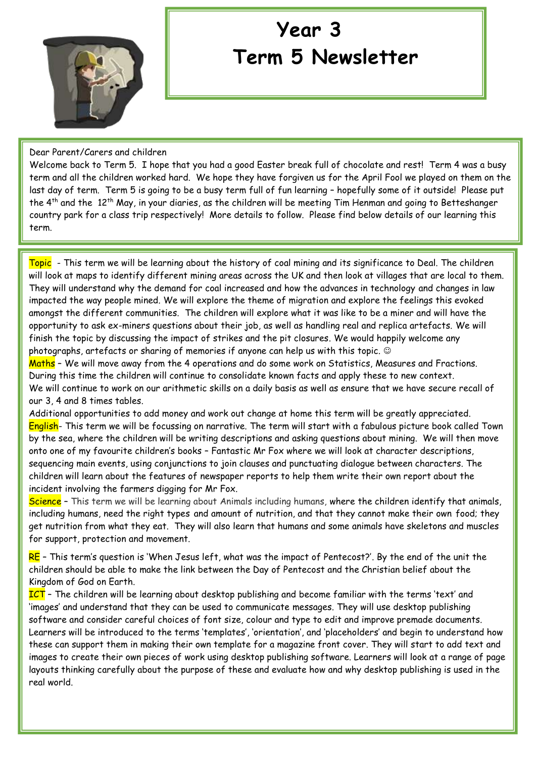

## **Year 3 Term 5 Newsletter**

Dear Parent/Carers and children

Welcome back to Term 5. I hope that you had a good Easter break full of chocolate and rest! Term 4 was a busy term and all the children worked hard. We hope they have forgiven us for the April Fool we played on them on the last day of term. Term 5 is going to be a busy term full of fun learning – hopefully some of it outside! Please put the 4th and the 12th May, in your diaries, as the children will be meeting Tim Henman and going to Betteshanger country park for a class trip respectively! More details to follow. Please find below details of our learning this term.

Topic - This term we will be learning about the history of coal mining and its significance to Deal. The children will look at maps to identify different mining areas across the UK and then look at villages that are local to them. They will understand why the demand for coal increased and how the advances in technology and changes in law impacted the way people mined. We will explore the theme of migration and explore the feelings this evoked amongst the different communities. The children will explore what it was like to be a miner and will have the opportunity to ask ex-miners questions about their job, as well as handling real and replica artefacts. We will finish the topic by discussing the impact of strikes and the pit closures. We would happily welcome any photographs, artefacts or sharing of memories if anyone can help us with this topic.

Maths – We will move away from the 4 operations and do some work on Statistics, Measures and Fractions. During this time the children will continue to consolidate known facts and apply these to new context. We will continue to work on our arithmetic skills on a daily basis as well as ensure that we have secure recall of our 3, 4 and 8 times tables.

Additional opportunities to add money and work out change at home this term will be greatly appreciated. English- This term we will be focussing on narrative. The term will start with a fabulous picture book called Town by the sea, where the children will be writing descriptions and asking questions about mining. We will then move onto one of my favourite children's books – Fantastic Mr Fox where we will look at character descriptions, sequencing main events, using conjunctions to join clauses and punctuating dialogue between characters. The children will learn about the features of newspaper reports to help them write their own report about the incident involving the farmers digging for Mr Fox.

Science - This term we will be learning about Animals including humans, where the children identify that animals, including humans, need the right types and amount of nutrition, and that they cannot make their own food; they get nutrition from what they eat. They will also learn that humans and some animals have skeletons and muscles for support, protection and movement.

 $RE$  – This term's question is 'When Jesus left, what was the impact of Pentecost?'. By the end of the unit the children should be able to make the link between the Day of Pentecost and the Christian belief about the Kingdom of God on Earth.

ICT - The children will be learning about desktop publishing and become familiar with the terms 'text' and 'images' and understand that they can be used to communicate messages. They will use desktop publishing software and consider careful choices of font size, colour and type to edit and improve premade documents. Learners will be introduced to the terms 'templates', 'orientation', and 'placeholders' and begin to understand how these can support them in making their own template for a magazine front cover. They will start to add text and images to create their own pieces of work using desktop publishing software. Learners will look at a range of page layouts thinking carefully about the purpose of these and evaluate how and why desktop publishing is used in the real world.